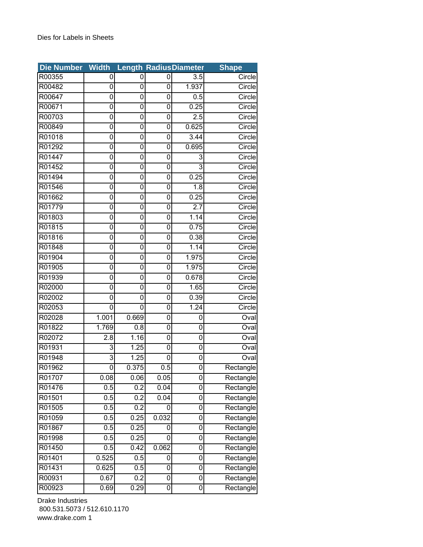| <b>Die Number</b> | <b>Width</b> |                  |       | <b>Length RadiusDiameter</b> | <b>Shape</b> |
|-------------------|--------------|------------------|-------|------------------------------|--------------|
| R00355            | 0            | 0                | 0     | 3.5                          | Circle       |
| R00482            | 0            | 0                | 0     | 1.937                        | Circle       |
| R00647            | 0            | 0                | 0     | 0.5                          | Circle       |
| R00671            | 0            | 0                | 0     | 0.25                         | Circle       |
| R00703            | 0            | 0                | 0     | 2.5                          | Circle       |
| R00849            | 0            | 0                | 0     | 0.625                        | Circle       |
| R01018            | 0            | 0                | 0     | 3.44                         | Circle       |
| R01292            | 0            | 0                | 0     | 0.695                        | Circle       |
| R01447            | 0            | 0                | 0     | 3                            | Circle       |
| R01452            | 0            | 0                | 0     | 3                            | Circle       |
| R01494            | 0            | 0                | 0     | 0.25                         | Circle       |
| R01546            | 0            | 0                | 0     | 1.8                          | Circle       |
| R01662            | 0            | 0                | 0     | 0.25                         | Circle       |
| R01779            | 0            | 0                | 0     | 2.7                          | Circle       |
| R01803            | 0            | 0                | 0     | 1.14                         | Circle       |
| R01815            | 0            | 0                | 0     | 0.75                         | Circle       |
| R01816            | 0            | 0                | 0     | 0.38                         | Circle       |
| R01848            | 0            | 0                | 0     | 1.14                         | Circle       |
| R01904            | 0            | 0                | 0     | 1.975                        | Circle       |
| R01905            | 0            | 0                | 0     | 1.975                        | Circle       |
| R01939            | 0            | 0                | 0     | 0.678                        | Circle       |
| R02000            | 0            | 0                | 0     | 1.65                         | Circle       |
| R02002            | 0            | 0                | 0     | 0.39                         | Circle       |
| R02053            | 0            | 0                | 0     | 1.24                         | Circle       |
| R02028            | 1.001        | 0.669            | 0     | 0                            | Oval         |
| R01822            | 1.769        | 0.8              | 0     | 0                            | Oval         |
| R02072            | 2.8          | 1.16             | 0     | 0                            | Oval         |
| R01931            | 3            | 1.25             | 0     | 0                            | Oval         |
| R01948            | 3            | 1.25             | 0     | 0                            | Oval         |
| R01962            | 0            | 0.375            | 0.5   | 0                            | Rectangle    |
| R01707            | 0.08         | 0.06             | 0.05  | 0                            | Rectangle    |
| R01476            | 0.5          | $0.\overline{2}$ | 0.04  | 0                            | Rectangle    |
| R01501            | 0.5          | 0.2              | 0.04  | 0                            | Rectangle    |
| R01505            | 0.5          | 0.2              | 0     | 0                            | Rectangle    |
| R01059            | 0.5          | 0.25             | 0.032 | 0                            | Rectangle    |
| R01867            | 0.5          | 0.25             | 0     | 0                            | Rectangle    |
| R01998            | 0.5          | 0.25             | 0     | 0                            | Rectangle    |
| R01450            | 0.5          | 0.42             | 0.062 | 0                            | Rectangle    |
| R01401            | 0.525        | 0.5              | 0     | 0                            | Rectangle    |
| R01431            | 0.625        | 0.5              | 0     | 0                            | Rectangle    |
| R00931            | 0.67         | 0.2              | 0     | 0                            | Rectangle    |
| R00923            | 0.69         | 0.29             | 0     | 0                            | Rectangle    |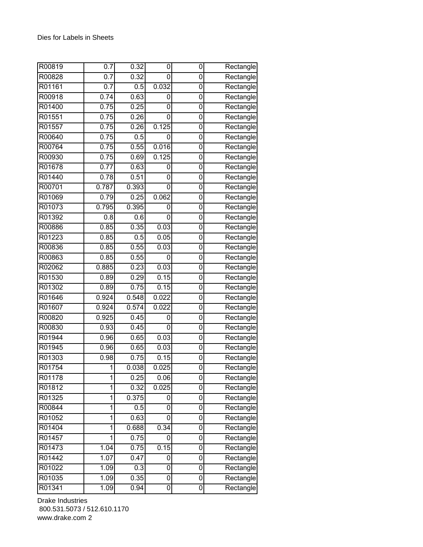| R00819 | 0.7   | 0.32  | 0                | 0           | Rectangle                        |
|--------|-------|-------|------------------|-------------|----------------------------------|
| R00828 | 0.7   | 0.32  | 0                | 0           | Rectangle                        |
| R01161 | 0.7   | 0.5   | 0.032            | 0           | Rectangle                        |
| R00918 | 0.74  | 0.63  | 0                | 0           | Rectangle                        |
| R01400 | 0.75  | 0.25  | 0                | 0           | Rectangle                        |
| R01551 | 0.75  | 0.26  | 0                | 0           | Rectangle                        |
| R01557 | 0.75  | 0.26  | 0.125            | $\mathbf 0$ | Rectangle                        |
| R00640 | 0.75  | 0.5   | 0                | 0           | Rectangle                        |
| R00764 | 0.75  | 0.55  | 0.016            | 0           | Rectangle                        |
| R00930 | 0.75  | 0.69  | 0.125            | 0           | Rectangle                        |
| R01678 | 0.77  | 0.63  | 0                | 0           | Rectangle                        |
| R01440 | 0.78  | 0.51  | 0                | 0           | Rectangle                        |
| R00701 | 0.787 | 0.393 | 0                | 0           | Rectangle                        |
| R01069 | 0.79  | 0.25  | 0.062            | $\mathbf 0$ | Rectangle                        |
| R01073 | 0.795 | 0.395 | 0                | 0           | Rectangle                        |
| R01392 | 0.8   | 0.6   | 0                | 0           | Rectangle                        |
| R00886 | 0.85  | 0.35  | 0.03             | 0           | Rectangle                        |
| R01223 | 0.85  | 0.5   | 0.05             | 0           | Rectangle                        |
| R00836 | 0.85  | 0.55  | 0.03             | 0           | Rectangle                        |
| R00863 | 0.85  | 0.55  | 0                | 0           | Rectangle                        |
| R02062 | 0.885 | 0.23  | 0.03             | 0           | Rectangle                        |
| R01530 | 0.89  | 0.29  | 0.15             | 0           | Rectangle                        |
| R01302 | 0.89  | 0.75  | 0.15             | 0           | Rectangle                        |
| R01646 | 0.924 | 0.548 | 0.022            | 0           | Rectangle                        |
| R01607 | 0.924 | 0.574 | 0.022            | 0           | Rectangle                        |
| R00820 | 0.925 | 0.45  | 0                | 0           | Rectangle                        |
| R00830 | 0.93  | 0.45  | 0                | 0           | $\overline{\mathsf{R}}$ ectangle |
| R01944 | 0.96  | 0.65  | 0.03             | 0           | Rectangle                        |
| R01945 | 0.96  | 0.65  | 0.03             | 0           | Rectangle                        |
| R01303 | 0.98  | 0.75  | 0.15             | 0           | Rectangle                        |
| R01754 | 1     | 0.038 | 0.025            | 0           | Rectangle                        |
| R01178 | 1     | 0.25  | 0.06             | 0           | Rectangle                        |
| R01812 | 1     | 0.32  | 0.025            | 0           | Rectangle                        |
| R01325 | 1     | 0.375 | 0                | 0           | Rectangle                        |
| R00844 | 1     | 0.5   | 0                | 0           | Rectangle                        |
| R01052 | 1     | 0.63  | 0                | 0           | Rectangle                        |
| R01404 | 1     | 0.688 | 0.34             | 0           | Rectangle                        |
| R01457 | 1     | 0.75  | 0                | $\mathbf 0$ | Rectangle                        |
| R01473 | 1.04  | 0.75  | 0.15             | $\mathbf 0$ | Rectangle                        |
| R01442 | 1.07  | 0.47  | 0                | 0           | Rectangle                        |
| R01022 | 1.09  | 0.3   | 0                | 0           | Rectangle                        |
| R01035 | 1.09  | 0.35  | 0                | 0           | Rectangle                        |
| R01341 | 1.09  | 0.94  | $\boldsymbol{0}$ | 0           | Rectangle                        |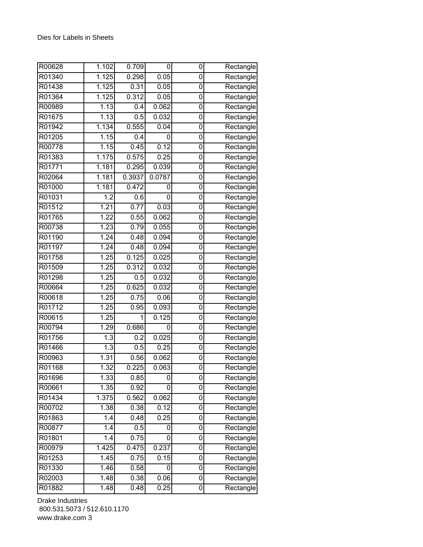| R00628 | 1.102            | 0.709  | 0      | 0              | Rectangle                        |
|--------|------------------|--------|--------|----------------|----------------------------------|
| R01340 | 1.125            | 0.298  | 0.05   | 0              | Rectangle                        |
| R01438 | 1.125            | 0.31   | 0.05   | 0              | Rectangle                        |
| R01364 | 1.125            | 0.312  | 0.05   | 0              | Rectangle                        |
| R00989 | 1.13             | 0.4    | 0.062  | 0              | Rectangle                        |
| R01675 | 1.13             | 0.5    | 0.032  | 0              | Rectangle                        |
| R01942 | 1.134            | 0.555  | 0.04   | $\mathbf 0$    | Rectangle                        |
| R01205 | 1.15             | 0.4    | 0      | $\mathbf 0$    | Rectangle                        |
| R00778 | 1.15             | 0.45   | 0.12   | 0              | Rectangle                        |
| R01383 | 1.175            | 0.575  | 0.25   | 0              | Rectangle                        |
| R01771 | 1.181            | 0.295  | 0.039  | 0              | Rectangle                        |
| R02064 | 1.181            | 0.3937 | 0.0787 | 0              | Rectangle                        |
| R01000 | 1.181            | 0.472  | 0      | 0              | Rectangle                        |
| R01031 | $\overline{1.2}$ | 0.6    | 0      | 0              | Rectangle                        |
| R01512 | 1.21             | 0.77   | 0.03   | 0              | Rectangle                        |
| R01765 | 1.22             | 0.55   | 0.062  | 0              | Rectangle                        |
| R00738 | 1.23             | 0.79   | 0.055  | 0              | Rectangle                        |
| R01190 | 1.24             | 0.48   | 0.094  | 0              | Rectangle                        |
| R01197 | 1.24             | 0.48   | 0.094  | 0              | Rectangle                        |
| R01758 | 1.25             | 0.125  | 0.025  | 0              | Rectangle                        |
| R01509 | 1.25             | 0.312  | 0.032  | $\mathbf 0$    | Rectangle                        |
| R01298 | 1.25             | 0.5    | 0.032  | 0              | Rectangle                        |
| R00664 | 1.25             | 0.625  | 0.032  | 0              | Rectangle                        |
| R00618 | 1.25             | 0.75   | 0.06   | 0              | Rectangle                        |
| R01712 | 1.25             | 0.95   | 0.093  | 0              | Rectangle                        |
| R00615 | 1.25             | 1      | 0.125  | $\mathbf 0$    | Rectangle                        |
| R00794 | 1.29             | 0.686  | 0      | $\mathbf 0$    | Rectangle                        |
| R01756 | $\overline{1.3}$ | 0.2    | 0.025  | 0              | $\overline{\mathsf{R}}$ ectangle |
| R01466 | 1.3              | 0.5    | 0.25   | 0              | Rectangle                        |
| R00963 | 1.31             | 0.56   | 0.062  | 0              | Rectangle                        |
| R01168 | 1.32             | 0.225  | 0.063  | 0              | Rectangle                        |
| R01696 | 1.33             | 0.85   | 0      | 0              | Rectangle                        |
| R00661 | 1.35             | 0.92   | 0      | 0              | Rectangle                        |
| R01434 | 1.375            | 0.562  | 0.062  | 0              | Rectangle                        |
| R00702 | 1.38             | 0.38   | 0.12   | 0              | Rectangle                        |
| R01863 | 1.4              | 0.48   | 0.25   | 0              | Rectangle                        |
| R00877 | 1.4              | 0.5    | 0      | 0              | Rectangle                        |
| R01801 | 1.4              | 0.75   | 0      | 0              | Rectangle                        |
| R00979 | 1.425            | 0.475  | 0.237  | $\mathbf 0$    | Rectangle                        |
| R01253 | 1.45             | 0.75   | 0.15   | $\overline{0}$ | Rectangle                        |
| R01330 | 1.46             | 0.58   | 0      | 0              | Rectangle                        |
| R02003 | 1.48             | 0.38   | 0.06   | 0              | Rectangle                        |
| R01882 | 1.48             | 0.48   | 0.25   | 0              | Rectangle                        |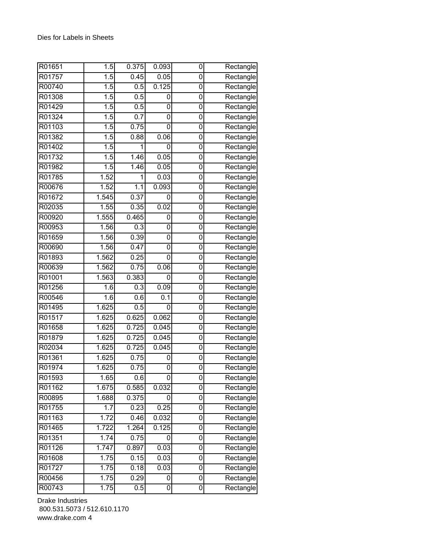| R01651 | $\overline{1.5}$  | 0.375 | 0.093 | 0              | Rectangle |
|--------|-------------------|-------|-------|----------------|-----------|
| R01757 | $\overline{1.5}$  | 0.45  | 0.05  | 0              | Rectangle |
| R00740 | 1.5               | 0.5   | 0.125 | 0              | Rectangle |
| R01308 | 1.5               | 0.5   | 0     | 0              | Rectangle |
| R01429 | 1.5               | 0.5   | 0     | 0              | Rectangle |
| R01324 | 1.5               | 0.7   | 0     | 0              | Rectangle |
| R01103 | 1.5               | 0.75  | 0     | 0              | Rectangle |
| R01382 | 1.5               | 0.88  | 0.06  | 0              | Rectangle |
| R01402 | 1.5               | 1     | 0     | 0              | Rectangle |
| R01732 | 1.5               | 1.46  | 0.05  | 0              | Rectangle |
| R01982 | 1.5               | 1.46  | 0.05  | $\overline{0}$ | Rectangle |
| R01785 | 1.52              | 1     | 0.03  | 0              | Rectangle |
| R00676 | 1.52              | 1.1   | 0.093 | 0              | Rectangle |
| R01672 | 1.545             | 0.37  | 0     | 0              | Rectangle |
| R02035 | 1.55              | 0.35  | 0.02  | 0              | Rectangle |
| R00920 | 1.555             | 0.465 | 0     | 0              | Rectangle |
| R00953 | 1.56              | 0.3   | 0     | 0              | Rectangle |
| R01659 | 1.56              | 0.39  | 0     | 0              | Rectangle |
| R00690 | 1.56              | 0.47  | 0     | 0              | Rectangle |
| R01893 | 1.562             | 0.25  | 0     | 0              | Rectangle |
| R00639 | 1.562             | 0.75  | 0.06  | 0              | Rectangle |
| R01001 | 1.563             | 0.383 | 0     | 0              | Rectangle |
| R01256 | $\overline{1}$ .6 | 0.3   | 0.09  | 0              | Rectangle |
| R00546 | 1.6               | 0.6   | 0.1   | 0              | Rectangle |
| R01495 | 1.625             | 0.5   | 0     | 0              | Rectangle |
| R01517 | 1.625             | 0.625 | 0.062 | 0              | Rectangle |
| R01658 | 1.625             | 0.725 | 0.045 | 0              | Rectangle |
| R01879 | 1.625             | 0.725 | 0.045 | 0              | Rectangle |
| R02034 | 1.625             | 0.725 | 0.045 | 0              | Rectangle |
| R01361 | 1.625             | 0.75  | 0     | 0              | Rectangle |
| R01974 | 1.625             | 0.75  | 0     | 0              | Rectangle |
| R01593 | 1.65              | 0.6   | 0     | 0              | Rectangle |
| R01162 | 1.675             | 0.585 | 0.032 | 0              | Rectangle |
| R00895 | 1.688             | 0.375 | 0     | 0              | Rectangle |
| R01755 | 1.7               | 0.23  | 0.25  | 0              | Rectangle |
| R01163 | 1.72              | 0.46  | 0.032 | 0              | Rectangle |
| R01465 | 1.722             | 1.264 | 0.125 | 0              | Rectangle |
| R01351 | 1.74              | 0.75  | 0     | 0              | Rectangle |
| R01126 | 1.747             | 0.897 | 0.03  | 0              | Rectangle |
| R01608 | 1.75              | 0.15  | 0.03  | 0              | Rectangle |
| R01727 | 1.75              | 0.18  | 0.03  | 0              | Rectangle |
| R00456 | 1.75              | 0.29  | 0     | 0              | Rectangle |
| R00743 | 1.75              | 0.5   | 0     | 0              | Rectangle |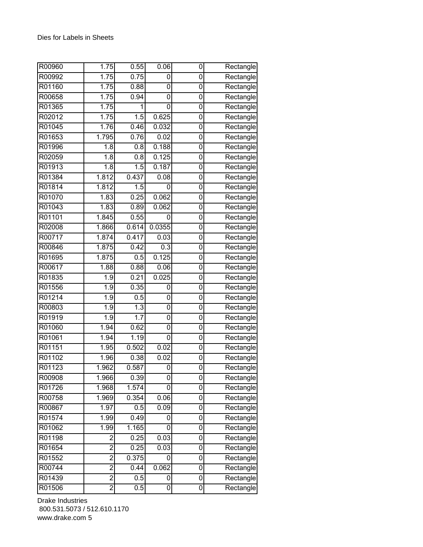| R00960 | 1.75           | 0.55  | 0.06             | 0              | Rectangle                        |
|--------|----------------|-------|------------------|----------------|----------------------------------|
| R00992 | 1.75           | 0.75  | 0                | 0              | Rectangle                        |
| R01160 | 1.75           | 0.88  | 0                | 0              | Rectangle                        |
| R00658 | 1.75           | 0.94  | 0                | $\mathbf 0$    | Rectangle                        |
| R01365 | 1.75           | 1     | 0                | 0              | Rectangle                        |
| R02012 | 1.75           | 1.5   | 0.625            | 0              | Rectangle                        |
| R01045 | 1.76           | 0.46  | 0.032            | 0              | Rectangle                        |
| R01653 | 1.795          | 0.76  | 0.02             | 0              | Rectangle                        |
| R01996 | 1.8            | 0.8   | 0.188            | 0              | Rectangle                        |
| R02059 | 1.8            | 0.8   | 0.125            | 0              | Rectangle                        |
| R01913 | 1.8            | 1.5   | 0.187            | 0              | Rectangle                        |
| R01384 | 1.812          | 0.437 | 0.08             | $\mathbf 0$    | Rectangle                        |
| R01814 | 1.812          | 1.5   | 0                | $\mathbf 0$    | Rectangle                        |
| R01070 | 1.83           | 0.25  | 0.062            | $\overline{0}$ | Rectangle                        |
| R01043 | 1.83           | 0.89  | 0.062            | 0              | Rectangle                        |
| R01101 | 1.845          | 0.55  | 0                | 0              | Rectangle                        |
| R02008 | 1.866          | 0.614 | 0.0355           | 0              | Rectangle                        |
| R00717 | 1.874          | 0.417 | 0.03             | 0              | Rectangle                        |
| R00846 | 1.875          | 0.42  | 0.3              | $\mathbf 0$    | Rectangle                        |
| R01695 | 1.875          | 0.5   | 0.125            | 0              | $\overline{\mathsf{R}}$ ectangle |
| R00617 | 1.88           | 0.88  | 0.06             | 0              | Rectangle                        |
| R01835 | 1.9            | 0.21  | 0.025            | 0              | Rectangle                        |
| R01556 | 1.9            | 0.35  | 0                | 0              | Rectangle                        |
| R01214 | 1.9            | 0.5   | 0                | 0              | Rectangle                        |
| R00803 | 1.9            | 1.3   | 0                | 0              | Rectangle                        |
| R01919 | 1.9            | 1.7   | 0                | 0              | Rectangle                        |
| R01060 | 1.94           | 0.62  | 0                | 0              | Rectangle                        |
| R01061 | 1.94           | 1.19  | 0                | 0              | Rectangle                        |
| R01151 | 1.95           | 0.502 | 0.02             | 0              | Rectangle                        |
| R01102 | 1.96           | 0.38  | 0.02             | 0              | Rectangle                        |
| R01123 | 1.962          | 0.587 | 0                | 0              | Rectangle                        |
| R00908 | 1.966          | 0.39  | 0                | 0              | Rectangle                        |
| R01726 | 1.968          | 1.574 | 0                | 0              | Rectangle                        |
| R00758 | 1.969          | 0.354 | 0.06             | 0              | Rectangle                        |
| R00867 | 1.97           | 0.5   | 0.09             | 0              | Rectangle                        |
| R01574 | 1.99           | 0.49  | 0                | 0              | Rectangle                        |
| R01062 | 1.99           | 1.165 | 0                | 0              | Rectangle                        |
| R01198 | $\overline{c}$ | 0.25  | 0.03             | $\mathbf 0$    | Rectangle                        |
| R01654 | $\overline{c}$ | 0.25  | 0.03             | 0              | Rectangle                        |
| R01552 | $\overline{2}$ | 0.375 | 0                | $\overline{0}$ | Rectangle                        |
| R00744 | $\overline{2}$ | 0.44  | 0.062            | 0              | Rectangle                        |
| R01439 | $\overline{2}$ | 0.5   | 0                | 0              | Rectangle                        |
| R01506 | $\overline{2}$ | 0.5   | $\boldsymbol{0}$ | 0              | Rectangle                        |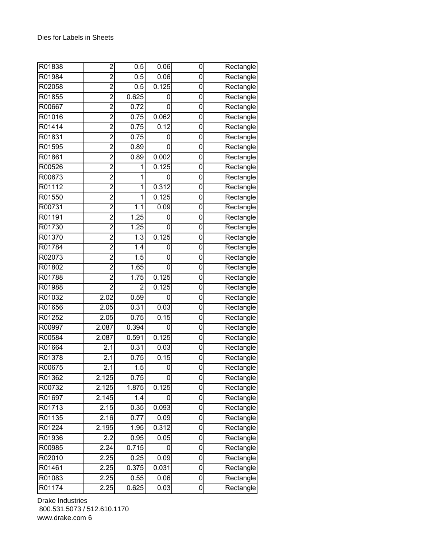| R01838 | $\overline{2}$    | 0.5               | 0.06  | 0           | Rectangle                        |
|--------|-------------------|-------------------|-------|-------------|----------------------------------|
| R01984 | $\overline{2}$    | 0.5               | 0.06  | 0           | Rectangle                        |
| R02058 | $\overline{2}$    | 0.5               | 0.125 | 0           | Rectangle                        |
| R01855 | $\overline{2}$    | 0.625             | 0     | 0           | Rectangle                        |
| R00667 | $\overline{2}$    | 0.72              | 0     | 0           | Rectangle                        |
| R01016 | $\overline{2}$    | 0.75              | 0.062 | 0           | Rectangle                        |
| R01414 | $\overline{2}$    | 0.75              | 0.12  | 0           | Rectangle                        |
| R01831 | $\overline{2}$    | 0.75              | 0     | 0           | Rectangle                        |
| R01595 | $\overline{2}$    | 0.89              | 0     | 0           | Rectangle                        |
| R01861 | $\overline{2}$    | 0.89              | 0.002 | 0           | Rectangle                        |
| R00526 | $\overline{2}$    | 1                 | 0.125 | 0           | Rectangle                        |
| R00673 | $\overline{2}$    | 1                 | 0     | 0           | Rectangle                        |
| R01112 | $\overline{2}$    | 1                 | 0.312 | 0           | Rectangle                        |
| R01550 | $\overline{2}$    | 1                 | 0.125 | 0           | Rectangle                        |
| R00731 | $\overline{2}$    | 1.1               | 0.09  | 0           | Rectangle                        |
| R01191 | $\overline{2}$    | 1.25              | 0     | 0           | Rectangle                        |
| R01730 | $\overline{c}$    | 1.25              | 0     | 0           | Rectangle                        |
| R01370 | $\overline{2}$    | $\overline{1.3}$  | 0.125 | 0           | Rectangle                        |
| R01784 | $\overline{2}$    | 1.4               | 0     | 0           | Rectangle                        |
| R02073 | $\overline{2}$    | 1.5               | 0     | 0           | Rectangle                        |
| R01802 | $\overline{2}$    | 1.65              | 0     | $\mathbf 0$ | Rectangle                        |
| R01788 | $\overline{2}$    | $\overline{1.75}$ | 0.125 | 0           | Rectangle                        |
| R01988 | $\overline{2}$    | $\overline{2}$    | 0.125 | 0           | Rectangle                        |
| R01032 | 2.02              | 0.59              | 0     | 0           | Rectangle                        |
| R01656 | 2.05              | 0.31              | 0.03  | 0           | Rectangle                        |
| R01252 | 2.05              | 0.75              | 0.15  | 0           | Rectangle                        |
| R00997 | 2.087             | 0.394             | 0     | 0           | Rectangle                        |
| R00584 | 2.087             | 0.591             | 0.125 | 0           | $\overline{\mathsf{R}}$ ectangle |
| R01664 | 2.1               | 0.31              | 0.03  | 0           | Rectangle                        |
| R01378 | 2.1               | 0.75              | 0.15  | 0           | Rectangle                        |
| R00675 | 2.1               | 1.5               | 0     | 0           | Rectangle                        |
| R01362 | 2.125             | 0.75              | 0     | 0           | Rectangle                        |
| R00732 | 2.125             | 1.875             | 0.125 | 0           | Rectangle                        |
| R01697 | 2.145             | 1.4               | 0     | 0           | Rectangle                        |
| R01713 | 2.15              | 0.35              | 0.093 | 0           | Rectangle                        |
| R01135 | 2.16              | 0.77              | 0.09  | 0           | Rectangle                        |
| R01224 | 2.195             | 1.95              | 0.312 | 0           | Rectangle                        |
| R01936 | 2.2               | 0.95              | 0.05  | 0           | Rectangle                        |
| R00985 | 2.24              | 0.715             | 0     | $\mathbf 0$ | Rectangle                        |
| R02010 | 2.25              | 0.25              | 0.09  | $\mathbf 0$ | Rectangle                        |
| R01461 | 2.25              | 0.375             | 0.031 | 0           | Rectangle                        |
| R01083 | 2.25              | 0.55              | 0.06  | 0           | Rectangle                        |
| R01174 | $2.\overline{25}$ | 0.625             | 0.03  | 0           | Rectangle                        |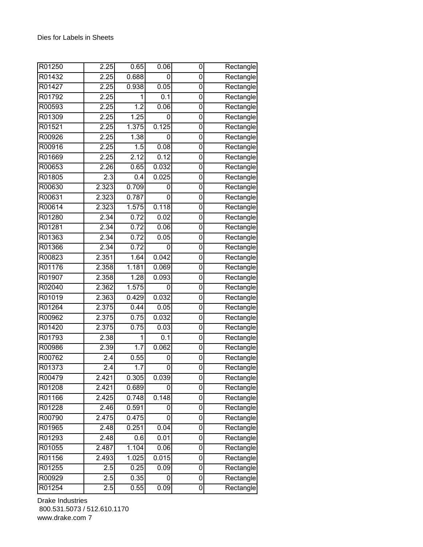| R01250 | 2.25             | 0.65              | 0.06  | 0           | Rectangle                        |
|--------|------------------|-------------------|-------|-------------|----------------------------------|
| R01432 | 2.25             | 0.688             | 0     | 0           | Rectangle                        |
| R01427 | 2.25             | 0.938             | 0.05  | 0           | Rectangle                        |
| R01792 | 2.25             | 1                 | 0.1   | 0           | Rectangle                        |
| R00593 | 2.25             | $\overline{1.2}$  | 0.06  | 0           | Rectangle                        |
| R01309 | 2.25             | 1.25              | 0     | 0           | Rectangle                        |
| R01521 | 2.25             | 1.375             | 0.125 | 0           | Rectangle                        |
| R00926 | 2.25             | 1.38              | 0     | 0           | Rectangle                        |
| R00916 | 2.25             | 1.5               | 0.08  | 0           | Rectangle                        |
| R01669 | 2.25             | 2.12              | 0.12  | 0           | Rectangle                        |
| R00653 | 2.26             | 0.65              | 0.032 | 0           | Rectangle                        |
| R01805 | 2.3              | 0.4               | 0.025 | 0           | Rectangle                        |
| R00630 | 2.323            | 0.709             | 0     | 0           | Rectangle                        |
| R00631 | 2.323            | 0.787             | 0     | $\mathbf 0$ | Rectangle                        |
| R00614 | 2.323            | 1.575             | 0.118 | 0           | Rectangle                        |
| R01280 | 2.34             | 0.72              | 0.02  | 0           | Rectangle                        |
| R01281 | 2.34             | 0.72              | 0.06  | 0           | Rectangle                        |
| R01363 | 2.34             | 0.72              | 0.05  | 0           | Rectangle                        |
| R01366 | 2.34             | 0.72              | 0     | 0           | Rectangle                        |
| R00823 | 2.351            | 1.64              | 0.042 | 0           | Rectangle                        |
| R01176 | 2.358            | 1.181             | 0.069 | 0           | Rectangle                        |
| R01907 | 2.358            | 1.28              | 0.093 | 0           | Rectangle                        |
| R02040 | 2.362            | 1.575             | 0     | 0           | Rectangle                        |
| R01019 | 2.363            | 0.429             | 0.032 | 0           | Rectangle                        |
| R01264 | 2.375            | 0.44              | 0.05  | 0           | Rectangle                        |
| R00962 | 2.375            | 0.75              | 0.032 | 0           | Rectangle                        |
| R01420 | 2.375            | 0.75              | 0.03  | 0           | $\overline{\mathsf{R}}$ ectangle |
| R01793 | 2.38             | 1                 | 0.1   | 0           | Rectangle                        |
| R00986 | 2.39             | 1.7               | 0.062 | 0           | Rectangle                        |
| R00762 | 2.4              | 0.55              | 0     | 0           | Rectangle                        |
| R01373 | $\overline{2.4}$ | $\overline{1}$ .7 | 0     | 0           | Rectangle                        |
| R00479 | 2.421            | 0.305             | 0.039 | 0           | Rectangle                        |
| R01208 | 2.421            | 0.689             | 0     | 0           | Rectangle                        |
| R01166 | 2.425            | 0.748             | 0.148 | 0           | Rectangle                        |
| R01228 | 2.46             | 0.591             | 0     | 0           | Rectangle                        |
| R00790 | 2.475            | 0.475             | 0     | 0           | Rectangle                        |
| R01965 | 2.48             | 0.251             | 0.04  | 0           | Rectangle                        |
| R01293 | 2.48             | 0.6               | 0.01  | $\mathbf 0$ | Rectangle                        |
| R01055 | 2.487            | 1.104             | 0.06  | 0           | Rectangle                        |
| R01156 | 2.493            | 1.025             | 0.015 | 0           | Rectangle                        |
| R01255 | 2.5              | 0.25              | 0.09  | $\mathbf 0$ | Rectangle                        |
| R00929 | 2.5              | 0.35              | 0     | 0           | Rectangle                        |
| R01254 | 2.5              | 0.55              | 0.09  | 0           | Rectangle                        |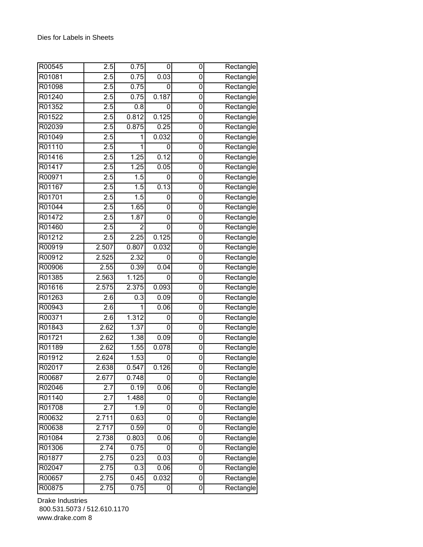| R00545 | 2.5              | 0.75           | 0     | 0           | Rectangle                        |
|--------|------------------|----------------|-------|-------------|----------------------------------|
| R01081 | $\overline{2.5}$ | 0.75           | 0.03  | 0           | Rectangle                        |
| R01098 | $\overline{2.5}$ | 0.75           | 0     | 0           | Rectangle                        |
| R01240 | 2.5              | 0.75           | 0.187 | 0           | Rectangle                        |
| R01352 | 2.5              | 0.8            | 0     | 0           | Rectangle                        |
| R01522 | 2.5              | 0.812          | 0.125 | 0           | Rectangle                        |
| R02039 | $\overline{2.5}$ | 0.875          | 0.25  | 0           | Rectangle                        |
| R01049 | 2.5              | 1              | 0.032 | 0           | Rectangle                        |
| R01110 | $\overline{2.5}$ | 1              | 0     | 0           | Rectangle                        |
| R01416 | 2.5              | 1.25           | 0.12  | 0           | Rectangle                        |
| R01417 | 2.5              | 1.25           | 0.05  | 0           | Rectangle                        |
| R00971 | 2.5              | 1.5            | 0     | 0           | Rectangle                        |
| R01167 | 2.5              | 1.5            | 0.13  | 0           | Rectangle                        |
| R01701 | 2.5              | 1.5            | 0     | $\mathbf 0$ | Rectangle                        |
| R01044 | 2.5              | 1.65           | 0     | 0           | Rectangle                        |
| R01472 | $\overline{2.5}$ | 1.87           | 0     | 0           | Rectangle                        |
| R01460 | 2.5              | $\overline{2}$ | 0     | 0           | Rectangle                        |
| R01212 | 2.5              | 2.25           | 0.125 | 0           | Rectangle                        |
| R00919 | 2.507            | 0.807          | 0.032 | 0           | Rectangle                        |
| R00912 | 2.525            | 2.32           | 0     | 0           | Rectangle                        |
| R00906 | 2.55             | 0.39           | 0.04  | 0           | Rectangle                        |
| R01385 | 2.563            | 1.125          | 0     | 0           | Rectangle                        |
| R01616 | 2.575            | 2.375          | 0.093 | 0           | Rectangle                        |
| R01263 | 2.6              | 0.3            | 0.09  | 0           | $\overline{\mathsf{R}}$ ectangle |
| R00943 | 2.6              | 1              | 0.06  | 0           | Rectangle                        |
| R00371 | 2.6              | 1.312          | 0     | 0           | Rectangle                        |
| R01843 | 2.62             | 1.37           | 0     | 0           | $\overline{\mathsf{R}}$ ectangle |
| R01721 | 2.62             | 1.38           | 0.09  | 0           | Rectangle                        |
| R01189 | 2.62             | 1.55           | 0.078 | 0           | Rectangle                        |
| R01912 | 2.624            | 1.53           | 0     | 0           | Rectangle                        |
| R02017 | 2.638            | 0.547          | 0.126 | 0           | Rectangle                        |
| R00687 | 2.677            | 0.748          | 0     | 0           | Rectangle                        |
| R02046 | 2.7              | 0.19           | 0.06  | 0           | Rectangle                        |
| R01140 | 2.7              | 1.488          | 0     | 0           | Rectangle                        |
| R01708 | 2.7              | 1.9            | 0     | 0           | Rectangle                        |
| R00632 | 2.711            | 0.63           | 0     | 0           | Rectangle                        |
| R00638 | 2.717            | 0.59           | 0     | 0           | Rectangle                        |
| R01084 | 2.738            | 0.803          | 0.06  | $\mathbf 0$ | Rectangle                        |
| R01306 | 2.74             | 0.75           | 0     | 0           | Rectangle                        |
| R01877 | 2.75             | 0.23           | 0.03  | 0           | Rectangle                        |
| R02047 | 2.75             | 0.3            | 0.06  | 0           | Rectangle                        |
| R00657 | 2.75             | 0.45           | 0.032 | 0           | Rectangle                        |
| R00875 | 2.75             | 0.75           | 0     | 0           | Rectangle                        |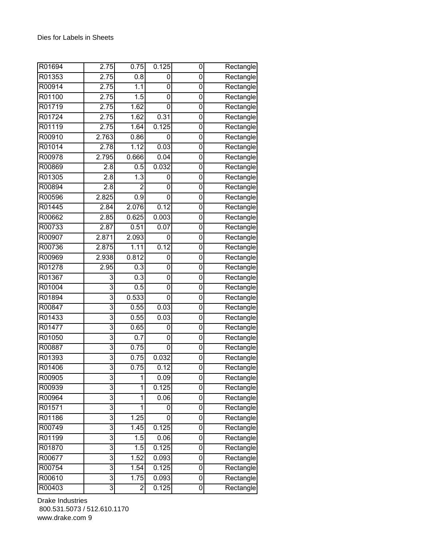| R01694 | 2.75           | 0.75             | 0.125             | 0              | Rectangle |
|--------|----------------|------------------|-------------------|----------------|-----------|
| R01353 | 2.75           | 0.8              | 0                 | 0              | Rectangle |
| R00914 | 2.75           | 1.1              | 0                 | 0              | Rectangle |
| R01100 | 2.75           | 1.5              | 0                 | $\mathbf 0$    | Rectangle |
| R01719 | 2.75           | 1.62             | 0                 | 0              | Rectangle |
| R01724 | 2.75           | 1.62             | 0.31              | 0              | Rectangle |
| R01119 | 2.75           | 1.64             | 0.125             | 0              | Rectangle |
| R00910 | 2.763          | 0.86             | 0                 | 0              | Rectangle |
| R01014 | 2.78           | 1.12             | 0.03              | 0              | Rectangle |
| R00978 | 2.795          | 0.666            | 0.04              | 0              | Rectangle |
| R00869 | 2.8            | 0.5              | 0.032             | 0              | Rectangle |
| R01305 | 2.8            | $\overline{1.3}$ | 0                 | 0              | Rectangle |
| R00894 | 2.8            | $\overline{2}$   | 0                 | 0              | Rectangle |
| R00596 | 2.825          | 0.9              | 0                 | 0              | Rectangle |
| R01445 | 2.84           | 2.076            | 0.12              | 0              | Rectangle |
| R00662 | 2.85           | 0.625            | 0.003             | 0              | Rectangle |
| R00733 | 2.87           | 0.51             | 0.07              | 0              | Rectangle |
| R00907 | 2.871          | 2.093            | 0                 | 0              | Rectangle |
| R00736 | 2.875          | 1.11             | 0.12              | $\mathbf 0$    | Rectangle |
| R00969 | 2.938          | 0.812            | 0                 | 0              | Rectangle |
| R01278 | 2.95           | $\overline{0.3}$ | 0                 | 0              | Rectangle |
| R01367 | 3              | 0.3              | 0                 | 0              | Rectangle |
| R01004 | 3              | 0.5              | 0                 | 0              | Rectangle |
| R01894 | 3              | 0.533            | 0                 | 0              | Rectangle |
| R00847 | 3              | 0.55             | 0.03              | 0              | Rectangle |
| R01433 | $\overline{3}$ | 0.55             | 0.03              | 0              | Rectangle |
| R01477 | 3              | 0.65             | 0                 | 0              | Rectangle |
| R01050 | $\overline{3}$ | 0.7              | 0                 | 0              | Rectangle |
| R00887 | $\overline{3}$ | 0.75             | 0                 | 0              | Rectangle |
| R01393 | 3              | 0.75             | 0.032             | 0              | Rectangle |
| R01406 | $\overline{3}$ | 0.75             | $\overline{0.12}$ | 0              | Rectangle |
| R00905 | 3              | 1                | 0.09              | 0              | Rectangle |
| R00939 | 3              | 1                | 0.125             | 0              | Rectangle |
| R00964 | 3              | 1                | 0.06              | 0              | Rectangle |
| R01571 | 3              | 1                | 0                 | 0              | Rectangle |
| R01186 | 3              | 1.25             | 0                 | 0              | Rectangle |
| R00749 | 3              | 1.45             | 0.125             | 0              | Rectangle |
| R01199 | $\overline{3}$ | 1.5              | 0.06              | $\mathbf 0$    | Rectangle |
| R01870 | 3              | 1.5              | 0.125             | 0              | Rectangle |
| R00677 | $\overline{3}$ | 1.52             | 0.093             | $\overline{0}$ | Rectangle |
| R00754 | 3              | 1.54             | 0.125             | 0              | Rectangle |
| R00610 | $\overline{3}$ | 1.75             | 0.093             | 0              | Rectangle |
| R00403 | 3              | 2                | 0.125             | 0              | Rectangle |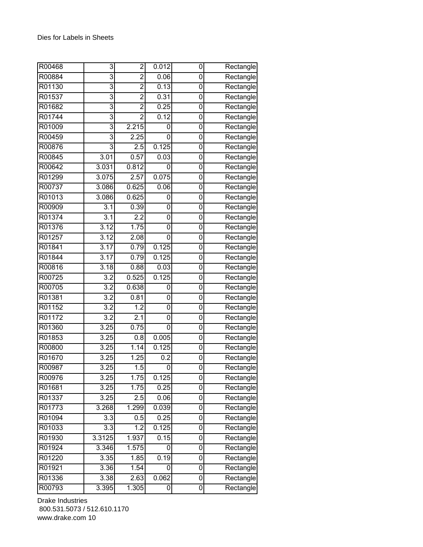| R00468 | 3                | $\overline{2}$   | 0.012 | 0 | Rectangle |
|--------|------------------|------------------|-------|---|-----------|
| R00884 | 3                | $\overline{2}$   | 0.06  | 0 | Rectangle |
| R01130 | $\overline{3}$   | $\overline{2}$   | 0.13  | 0 | Rectangle |
| R01537 | $\overline{3}$   | $\overline{2}$   | 0.31  | 0 | Rectangle |
| R01682 | 3                | $\overline{2}$   | 0.25  | 0 | Rectangle |
| R01744 | 3                | $\overline{2}$   | 0.12  | 0 | Rectangle |
| R01009 | 3                | 2.215            | 0     | 0 | Rectangle |
| R00459 | 3                | 2.25             | 0     | 0 | Rectangle |
| R00876 | $\overline{3}$   | 2.5              | 0.125 | 0 | Rectangle |
| R00845 | 3.01             | 0.57             | 0.03  | 0 | Rectangle |
| R00642 | 3.031            | 0.812            | 0     | 0 | Rectangle |
| R01299 | 3.075            | 2.57             | 0.075 | 0 | Rectangle |
| R00737 | 3.086            | 0.625            | 0.06  | 0 | Rectangle |
| R01013 | 3.086            | 0.625            | 0     | 0 | Rectangle |
| R00909 | 3.1              | 0.39             | 0     | 0 | Rectangle |
| R01374 | $\overline{3.1}$ | 2.2              | 0     | 0 | Rectangle |
| R01376 | 3.12             | 1.75             | 0     | 0 | Rectangle |
| R01257 | 3.12             | 2.08             | 0     | 0 | Rectangle |
| R01841 | 3.17             | 0.79             | 0.125 | 0 | Rectangle |
| R01844 | 3.17             | 0.79             | 0.125 | 0 | Rectangle |
| R00816 | 3.18             | 0.88             | 0.03  | 0 | Rectangle |
| R00725 | 3.2              | 0.525            | 0.125 | 0 | Rectangle |
| R00705 | $\overline{3.2}$ | 0.638            | 0     | 0 | Rectangle |
| R01381 | 3.2              | 0.81             | 0     | 0 | Rectangle |
| R01152 | $\overline{3.2}$ | $\overline{1.2}$ | 0     | 0 | Rectangle |
| R01172 | $\overline{3.2}$ | 2.1              | 0     | 0 | Rectangle |
| R01360 | 3.25             | 0.75             | 0     | 0 | Rectangle |
| R01853 | 3.25             | 0.8              | 0.005 | 0 | Rectangle |
| R00800 | 3.25             | 1.14             | 0.125 | 0 | Rectangle |
| R01670 | 3.25             | 1.25             | 0.2   | 0 | Rectangle |
| R00987 | 3.25             | 1.5              | 0     | 0 | Rectangle |
| R00976 | 3.25             | 1.75             | 0.125 | 0 | Rectangle |
| R01681 | 3.25             | 1.75             | 0.25  | 0 | Rectangle |
| R01337 | 3.25             | 2.5              | 0.06  | 0 | Rectangle |
| R01773 | 3.268            | 1.299            | 0.039 | 0 | Rectangle |
| R01094 | 3.3              | 0.5              | 0.25  | 0 | Rectangle |
| R01033 | 3.3              | 1.2              | 0.125 | 0 | Rectangle |
| R01930 | 3.3125           | 1.937            | 0.15  | 0 | Rectangle |
| R01924 | 3.346            | 1.575            | 0     | 0 | Rectangle |
| R01220 | 3.35             | 1.85             | 0.19  | 0 | Rectangle |
| R01921 | 3.36             | 1.54             | 0     | 0 | Rectangle |
| R01336 | 3.38             | 2.63             | 0.062 | 0 | Rectangle |
| R00793 | 3.395            | 1.305            | 0     | 0 | Rectangle |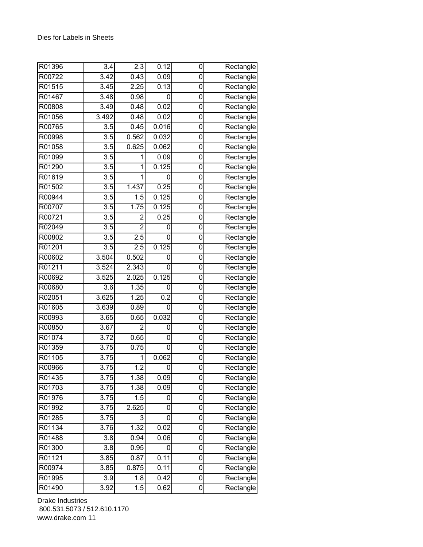| R01396 | 3.4               | 2.3              | 0.12  | 0           | Rectangle                        |
|--------|-------------------|------------------|-------|-------------|----------------------------------|
| R00722 | 3.42              | 0.43             | 0.09  | 0           | Rectangle                        |
| R01515 | 3.45              | 2.25             | 0.13  | 0           | Rectangle                        |
| R01467 | 3.48              | 0.98             | 0     | 0           | Rectangle                        |
| R00808 | 3.49              | 0.48             | 0.02  | 0           | Rectangle                        |
| R01056 | 3.492             | 0.48             | 0.02  | 0           | Rectangle                        |
| R00765 | 3.5               | 0.45             | 0.016 | 0           | Rectangle                        |
| R00998 | 3.5               | 0.562            | 0.032 | 0           | Rectangle                        |
| R01058 | $\overline{3.5}$  | 0.625            | 0.062 | 0           | Rectangle                        |
| R01099 | 3.5               | 1                | 0.09  | 0           | Rectangle                        |
| R01290 | $\overline{3.5}$  | 1                | 0.125 | 0           | Rectangle                        |
| R01619 | $\overline{3.5}$  | 1                | 0     | 0           | Rectangle                        |
| R01502 | 3.5               | 1.437            | 0.25  | 0           | Rectangle                        |
| R00944 | 3.5               | $\overline{1.5}$ | 0.125 | $\mathbf 0$ | Rectangle                        |
| R00707 | 3.5               | 1.75             | 0.125 | 0           | Rectangle                        |
| R00721 | 3.5               | $\overline{2}$   | 0.25  | 0           | Rectangle                        |
| R02049 | 3.5               | $\overline{2}$   | 0     | 0           | Rectangle                        |
| R00802 | $\overline{3.5}$  | 2.5              | 0     | 0           | Rectangle                        |
| R01201 | $\overline{3.5}$  | $\overline{2.5}$ | 0.125 | 0           | Rectangle                        |
| R00602 | 3.504             | 0.502            | 0     | 0           | Rectangle                        |
| R01211 | 3.524             | 2.343            | 0     | 0           | Rectangle                        |
| R00692 | 3.525             | 2.025            | 0.125 | 0           | Rectangle                        |
| R00680 | 3.6               | 1.35             | 0     | 0           | Rectangle                        |
| R02051 | 3.625             | 1.25             | 0.2   | 0           | Rectangle                        |
| R01605 | 3.639             | 0.89             | 0     | 0           | Rectangle                        |
| R00993 | 3.65              | 0.65             | 0.032 | 0           | Rectangle                        |
| R00850 | 3.67              | $\overline{2}$   | 0     | 0           | $\overline{\mathsf{R}}$ ectangle |
| R01074 | 3.72              | 0.65             | 0     | 0           | Rectangle                        |
| R01359 | 3.75              | 0.75             | 0     | 0           | Rectangle                        |
| R01105 | $\overline{3.75}$ | 1                | 0.062 | 0           | Rectangle                        |
| R00966 | 3.75              | $\overline{1.2}$ | 0     | 0           | Rectangle                        |
| R01435 | 3.75              | 1.38             | 0.09  | 0           | Rectangle                        |
| R01703 | 3.75              | 1.38             | 0.09  | 0           | Rectangle                        |
| R01976 | 3.75              | 1.5              | 0     | 0           | Rectangle                        |
| R01992 | 3.75              | 2.625            | 0     | 0           | Rectangle                        |
| R01285 | 3.75              | 3                | 0     | 0           | Rectangle                        |
| R01134 | 3.76              | 1.32             | 0.02  | 0           | Rectangle                        |
| R01488 | 3.8               | 0.94             | 0.06  | $\mathbf 0$ | Rectangle                        |
| R01300 | 3.8               | 0.95             | 0     | 0           | Rectangle                        |
| R01121 | 3.85              | 0.87             | 0.11  | 0           | Rectangle                        |
| R00974 | 3.85              | 0.875            | 0.11  | 0           | Rectangle                        |
| R01995 | 3.9               | 1.8              | 0.42  | 0           | Rectangle                        |
| R01490 | 3.92              | 1.5              | 0.62  | 0           | Rectangle                        |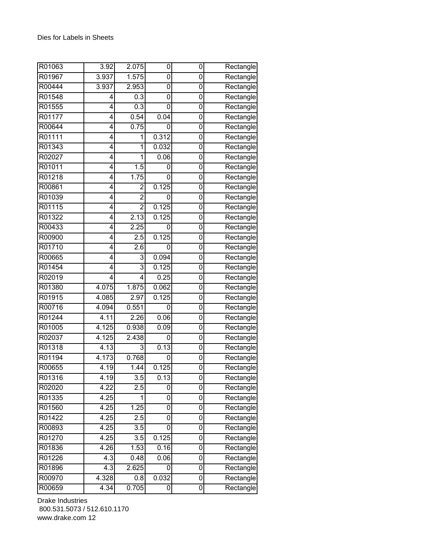| R01063 | 3.92  | 2.075            | 0     | 0           | Rectangle |
|--------|-------|------------------|-------|-------------|-----------|
| R01967 | 3.937 | 1.575            | 0     | 0           | Rectangle |
| R00444 | 3.937 | 2.953            | 0     | 0           | Rectangle |
| R01548 | 4     | $\overline{0.3}$ | 0     | 0           | Rectangle |
| R01555 | 4     | 0.3              | 0     | 0           | Rectangle |
| R01177 | 4     | 0.54             | 0.04  | 0           | Rectangle |
| R00644 | 4     | 0.75             | 0     | 0           | Rectangle |
| R01111 | 4     | 1                | 0.312 | 0           | Rectangle |
| R01343 | 4     | 1                | 0.032 | 0           | Rectangle |
| R02027 | 4     | 1                | 0.06  | 0           | Rectangle |
| R01011 | 4     | 1.5              | 0     | 0           | Rectangle |
| R01218 | 4     | 1.75             | 0     | 0           | Rectangle |
| R00861 | 4     | $\overline{2}$   | 0.125 | 0           | Rectangle |
| R01039 | 4     | $\overline{2}$   | 0     | 0           | Rectangle |
| R01115 | 4     | $\overline{2}$   | 0.125 | 0           | Rectangle |
| R01322 | 4     | 2.13             | 0.125 | 0           | Rectangle |
| R00433 | 4     | 2.25             | 0     | 0           | Rectangle |
| R00900 | 4     | 2.5              | 0.125 | 0           | Rectangle |
| R01710 | 4     | 2.6              | 0     | 0           | Rectangle |
| R00665 | 4     | 3                | 0.094 | 0           | Rectangle |
| R01454 | 4     | $\overline{3}$   | 0.125 | $\mathbf 0$ | Rectangle |
| R02019 | 4     | 4                | 0.25  | 0           | Rectangle |
| R01380 | 4.075 | 1.875            | 0.062 | 0           | Rectangle |
| R01915 | 4.085 | 2.97             | 0.125 | 0           | Rectangle |
| R00716 | 4.094 | 0.551            | 0     | 0           | Rectangle |
| R01244 | 4.11  | 2.26             | 0.06  | 0           | Rectangle |
| R01005 | 4.125 | 0.938            | 0.09  | 0           | Rectangle |
| R02037 | 4.125 | 2.438            | 0     | 0           | Rectangle |
| R01318 | 4.13  | 3                | 0.13  | 0           | Rectangle |
| R01194 | 4.173 | 0.768            | 0     | 0           | Rectangle |
| R00655 | 4.19  | 1.44             | 0.125 | 0           | Rectangle |
| R01316 | 4.19  | $\overline{3.5}$ | 0.13  | 0           | Rectangle |
| R02020 | 4.22  | $\overline{2.5}$ | 0     | 0           | Rectangle |
| R01335 | 4.25  | 1                | 0     | 0           | Rectangle |
| R01560 | 4.25  | 1.25             | 0     | 0           | Rectangle |
| R01422 | 4.25  | 2.5              | 0     | 0           | Rectangle |
| R00893 | 4.25  | 3.5              | 0     | 0           | Rectangle |
| R01270 | 4.25  | 3.5              | 0.125 | 0           | Rectangle |
| R01836 | 4.26  | 1.53             | 0.16  | 0           | Rectangle |
| R01226 | 4.3   | 0.48             | 0.06  | $\mathbf 0$ | Rectangle |
| R01896 | 4.3   | 2.625            | 0     | 0           | Rectangle |
| R00970 | 4.328 | 0.8              | 0.032 | 0           | Rectangle |
| R00659 | 4.34  | 0.705            | 0     | 0           | Rectangle |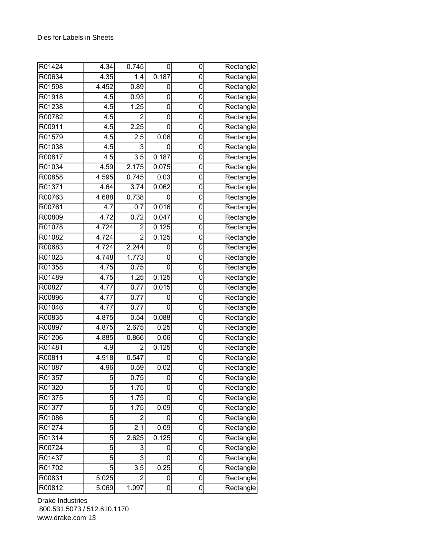| R01424 | 4.34             | 0.745            | 0     | 0           | Rectangle                        |
|--------|------------------|------------------|-------|-------------|----------------------------------|
| R00634 | 4.35             | $\overline{1.4}$ | 0.187 | 0           | Rectangle                        |
| R01598 | 4.452            | 0.89             | 0     | 0           | Rectangle                        |
| R01918 | 4.5              | 0.93             | 0     | 0           | Rectangle                        |
| R01238 | 4.5              | 1.25             | 0     | 0           | Rectangle                        |
| R00782 | $\overline{4.5}$ | $\overline{2}$   | 0     | 0           | Rectangle                        |
| R00911 | $\overline{4.5}$ | 2.25             | 0     | 0           | Rectangle                        |
| R01579 | 4.5              | 2.5              | 0.06  | 0           | Rectangle                        |
| R01038 | 4.5              | 3                | 0     | 0           | Rectangle                        |
| R00817 | 4.5              | $\overline{3.5}$ | 0.187 | 0           | Rectangle                        |
| R01034 | 4.59             | 2.175            | 0.075 | 0           | Rectangle                        |
| R00858 | 4.595            | 0.745            | 0.03  | 0           | Rectangle                        |
| R01371 | 4.64             | 3.74             | 0.062 | 0           | Rectangle                        |
| R00763 | 4.688            | 0.738            | 0     | 0           | Rectangle                        |
| R00761 | 4.7              | 0.7              | 0.016 | 0           | Rectangle                        |
| R00809 | 4.72             | 0.72             | 0.047 | 0           | Rectangle                        |
| R01078 | 4.724            | $\overline{c}$   | 0.125 | 0           | Rectangle                        |
| R01082 | 4.724            | $\overline{2}$   | 0.125 | 0           | Rectangle                        |
| R00683 | 4.724            | 2.244            | 0     | 0           | Rectangle                        |
| R01023 | 4.748            | 1.773            | 0     | 0           | Rectangle                        |
| R01358 | 4.75             | 0.75             | 0     | $\mathbf 0$ | Rectangle                        |
| R01489 | 4.75             | 1.25             | 0.125 | 0           | Rectangle                        |
| R00827 | 4.77             | 0.77             | 0.015 | 0           | Rectangle                        |
| R00896 | 4.77             | 0.77             | 0     | 0           | Rectangle                        |
| R01046 | 4.77             | 0.77             | 0     | 0           | Rectangle                        |
| R00835 | 4.875            | 0.54             | 0.088 | $\mathbf 0$ | Rectangle                        |
| R00897 | 4.875            | 2.675            | 0.25  | $\mathbf 0$ | Rectangle                        |
| R01206 | 4.885            | 0.866            | 0.06  | 0           | $\overline{\mathsf{R}}$ ectangle |
| R01481 | 4.9              | 2                | 0.125 | 0           | Rectangle                        |
| R00811 | 4.918            | 0.547            | 0     | 0           | Rectangle                        |
| R01087 | 4.96             | 0.59             | 0.02  | 0           | $\overline{\mathsf{R}}$ ectangle |
| R01357 | 5                | 0.75             | 0     | 0           | Rectangle                        |
| R01320 | 5                | 1.75             | 0     | 0           | Rectangle                        |
| R01375 | 5                | 1.75             | 0     | 0           | Rectangle                        |
| R01377 | 5                | 1.75             | 0.09  | 0           | Rectangle                        |
| R01086 | 5                | 2                | 0     | 0           | Rectangle                        |
| R01274 | 5                | 2.1              | 0.09  | 0           | Rectangle                        |
| R01314 | 5                | 2.625            | 0.125 | 0           | Rectangle                        |
| R00724 | 5                | 3                | 0     | 0           | Rectangle                        |
| R01437 | 5                | $\overline{3}$   | 0     | 0           | Rectangle                        |
| R01702 | 5                | 3.5              | 0.25  | 0           | Rectangle                        |
| R00831 | 5.025            | $\overline{2}$   | 0     | 0           | Rectangle                        |
| R00812 | 5.069            | 1.097            | 0     | 0           | Rectangle                        |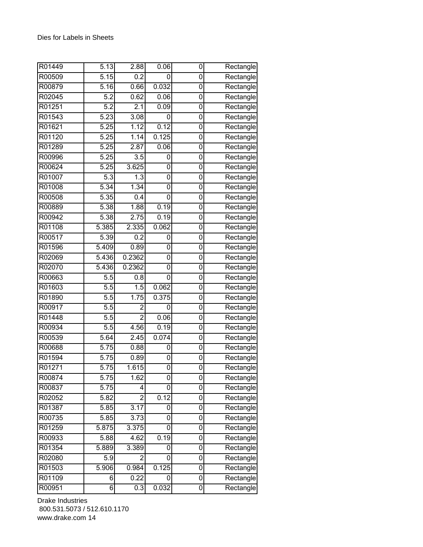| R01449 | 5.13               | 2.88              | 0.06               | 0           | Rectangle                        |
|--------|--------------------|-------------------|--------------------|-------------|----------------------------------|
| R00509 | 5.15               | 0.2               | 0                  | 0           | Rectangle                        |
| R00879 | 5.16               | 0.66              | 0.032              | 0           | Rectangle                        |
| R02045 | 5.2                | 0.62              | 0.06               | 0           | Rectangle                        |
| R01251 | 5.2                | 2.1               | 0.09               | 0           | Rectangle                        |
| R01543 | 5.23               | 3.08              | 0                  | 0           | Rectangle                        |
| R01621 | 5.25               | 1.12              | 0.12               | $\mathbf 0$ | Rectangle                        |
| R01120 | 5.25               | 1.14              | 0.125              | 0           | Rectangle                        |
| R01289 | 5.25               | 2.87              | 0.06               | 0           | $\overline{\mathsf{R}}$ ectangle |
| R00996 | 5.25               | 3.5               | 0                  | 0           | Rectangle                        |
| R00624 | 5.25               | 3.625             | 0                  | 0           | Rectangle                        |
| R01007 | 5.3                | 1.3               | 0                  | 0           | Rectangle                        |
| R01008 | 5.34               | $\overline{1.34}$ | 0                  | 0           | Rectangle                        |
| R00508 | 5.35               | 0.4               | 0                  | 0           | Rectangle                        |
| R00889 | 5.38               | 1.88              | 0.19               | 0           | Rectangle                        |
| R00942 | $\frac{1}{5.38}$   | 2.75              | 0.19               | 0           | Rectangle                        |
| R01108 | 5.385              | 2.335             | 0.062              | 0           | Rectangle                        |
| R00517 | 5.39               | 0.2               | 0                  | $\mathbf 0$ | Rectangle                        |
| R01596 | $\frac{1}{5.409}$  | 0.89              | 0                  | 0           | Rectangle                        |
| R02069 | 5.436              | 0.2362            | 0                  | 0           | Rectangle                        |
| R02070 | 5.436              | 0.2362            | 0                  | $\mathbf 0$ | Rectangle                        |
| R00663 | 5.5                | 0.8               | 0                  | 0           | Rectangle                        |
| R01603 | $\overline{5.5}$   | 1.5               | 0.062              | 0           | Rectangle                        |
| R01890 | 5.5                | 1.75              | 0.375              | 0           | Rectangle                        |
| R00917 | $\overline{5.5}$   | $\overline{2}$    | 0                  | 0           | Rectangle                        |
| R01448 | $\overline{5.5}$   | $\overline{2}$    | 0.06               | $\mathbf 0$ | Rectangle                        |
| R00934 | 5.5                | 4.56              | 0.19               | $\mathbf 0$ | Rectangle                        |
| R00539 | 5.64               | 2.45              | 0.074              | 0           | $\overline{\mathsf{R}}$ ectangle |
| R00688 | 5.75               | 0.88              | 0                  | 0           | Rectangle                        |
| R01594 | 5.75               | 0.89              | 0                  | 0           | Rectangle                        |
| R01271 | 5.75               | 1.615             | 0                  | 0           | Rectangle                        |
| R00874 | 5.75               | 1.62              | 0                  | 0           | Rectangle                        |
| R00837 | 5.75               | 4                 | 0                  | 0           | Rectangle                        |
| R02052 | 5.82               | $\overline{c}$    | 0.12               | 0           | Rectangle                        |
| R01387 | 5.85               | 3.17              | 0                  | 0           | Rectangle                        |
| R00735 | 5.85               | 3.73              | 0                  | 0           | Rectangle                        |
| R01259 | 5.875              | 3.375             | 0                  | 0           | Rectangle                        |
| R00933 | 5.88               | 4.62              | 0.19               | 0           | Rectangle                        |
| R01354 | 5.889              | 3.389             | 0                  | 0           | Rectangle                        |
| R02080 | 5.9                | $\overline{2}$    | 0                  | 0           | Rectangle                        |
| R01503 | $\overline{5.906}$ | 0.984             | 0.125              | 0           | Rectangle                        |
| R01109 | 6                  | 0.22              | 0                  | 0           | Rectangle                        |
| R00951 | 6                  | 0.3               | $0.\overline{032}$ | 0           | Rectangle                        |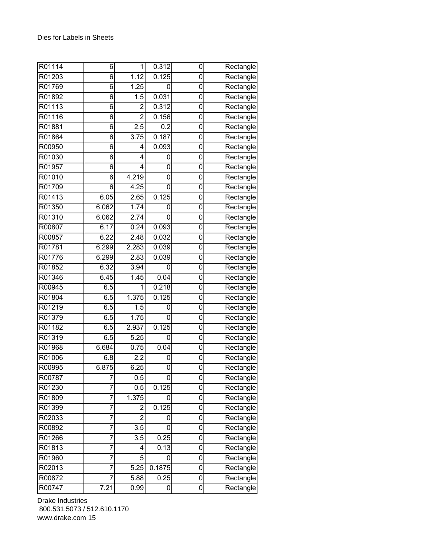| R01114 | 6              | 1                 | 0.312  | 0 | Rectangle |
|--------|----------------|-------------------|--------|---|-----------|
| R01203 | 6              | 1.12              | 0.125  | 0 | Rectangle |
| R01769 | 6              | 1.25              | 0      | 0 | Rectangle |
| R01892 | $\overline{6}$ | 1.5               | 0.031  | 0 | Rectangle |
| R01113 | 6              | $\overline{2}$    | 0.312  | 0 | Rectangle |
| R01116 | 6              | $\overline{2}$    | 0.156  | 0 | Rectangle |
| R01881 | 6              | 2.5               | 0.2    | 0 | Rectangle |
| R01864 | 6              | $\overline{3.75}$ | 0.187  | 0 | Rectangle |
| R00950 | 6              | 4                 | 0.093  | 0 | Rectangle |
| R01030 | 6              | 4                 | 0      | 0 | Rectangle |
| R01957 | 6              | 4                 | 0      | 0 | Rectangle |
| R01010 | 6              | 4.219             | 0      | 0 | Rectangle |
| R01709 | 6              | 4.25              | 0      | 0 | Rectangle |
| R01413 | 6.05           | 2.65              | 0.125  | 0 | Rectangle |
| R01350 | 6.062          | 1.74              | 0      | 0 | Rectangle |
| R01310 | 6.062          | 2.74              | 0      | 0 | Rectangle |
| R00807 | 6.17           | 0.24              | 0.093  | 0 | Rectangle |
| R00857 | 6.22           | 2.48              | 0.032  | 0 | Rectangle |
| R01781 | 6.299          | 2.283             | 0.039  | 0 | Rectangle |
| R01776 | 6.299          | 2.83              | 0.039  | 0 | Rectangle |
| R01852 | 6.32           | 3.94              | 0      | 0 | Rectangle |
| R01346 | 6.45           | 1.45              | 0.04   | 0 | Rectangle |
| R00945 | 6.5            | 1                 | 0.218  | 0 | Rectangle |
| R01804 | 6.5            | 1.375             | 0.125  | 0 | Rectangle |
| R01219 | 6.5            | 1.5               | 0      | 0 | Rectangle |
| R01379 | 6.5            | 1.75              | 0      | 0 | Rectangle |
| R01182 | 6.5            | 2.937             | 0.125  | 0 | Rectangle |
| R01319 | 6.5            | 5.25              | 0      | 0 | Rectangle |
| R01968 | 6.684          | 0.75              | 0.04   | 0 | Rectangle |
| R01006 | 6.8            | 2.2               | 0      | 0 | Rectangle |
| R00995 | 6.875          | 6.25              | 0      | 0 | Rectangle |
| R00787 | 7              | 0.5               | 0      | 0 | Rectangle |
| R01230 | 7              | 0.5               | 0.125  | 0 | Rectangle |
| R01809 | 7              | 1.375             | 0      | 0 | Rectangle |
| R01399 | 7              | $\overline{c}$    | 0.125  | 0 | Rectangle |
| R02033 | 7              | $\overline{2}$    | 0      | 0 | Rectangle |
| R00892 | 7              | $\overline{3.5}$  | 0      | 0 | Rectangle |
| R01266 | 7              | 3.5               | 0.25   | 0 | Rectangle |
| R01813 | 7              | 4                 | 0.13   | 0 | Rectangle |
| R01960 | 7              | 5                 | 0      | 0 | Rectangle |
| R02013 | 7              | 5.25              | 0.1875 | 0 | Rectangle |
| R00872 | 7              | 5.88              | 0.25   | 0 | Rectangle |
| R00747 | 7.21           | 0.99              | 0      | 0 | Rectangle |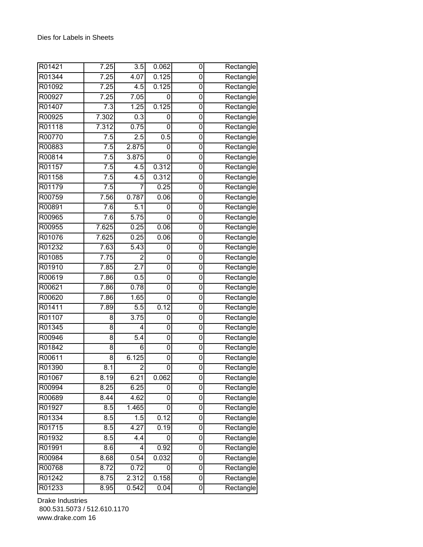| R01421 | 7.25             | $\overline{3.5}$ | 0.062 | 0           | Rectangle                        |
|--------|------------------|------------------|-------|-------------|----------------------------------|
| R01344 | 7.25             | 4.07             | 0.125 | 0           | Rectangle                        |
| R01092 | 7.25             | 4.5              | 0.125 | 0           | Rectangle                        |
| R00927 | 7.25             | 7.05             | 0     | 0           | Rectangle                        |
| R01407 | 7.3              | 1.25             | 0.125 | 0           | Rectangle                        |
| R00925 | 7.302            | 0.3              | 0     | 0           | Rectangle                        |
| R01118 | 7.312            | 0.75             | 0     | 0           | Rectangle                        |
| R00770 | 7.5              | 2.5              | 0.5   | 0           | Rectangle                        |
| R00883 | 7.5              | 2.875            | 0     | 0           | Rectangle                        |
| R00814 | 7.5              | 3.875            | 0     | 0           | Rectangle                        |
| R01157 | 7.5              | 4.5              | 0.312 | 0           | Rectangle                        |
| R01158 | $\overline{7.5}$ | 4.5              | 0.312 | 0           | Rectangle                        |
| R01179 | 7.5              | 7                | 0.25  | 0           | Rectangle                        |
| R00759 | 7.56             | 0.787            | 0.06  | $\mathbf 0$ | Rectangle                        |
| R00891 | 7.6              | 5.1              | 0     | 0           | Rectangle                        |
| R00965 | 7.6              | 5.75             | 0     | 0           | Rectangle                        |
| R00955 | 7.625            | 0.25             | 0.06  | 0           | Rectangle                        |
| R01076 | 7.625            | 0.25             | 0.06  | 0           | Rectangle                        |
| R01232 | 7.63             | 5.43             | 0     | 0           | Rectangle                        |
| R01085 | 7.75             | 2                | 0     | 0           | Rectangle                        |
| R01910 | 7.85             | 2.7              | 0     | 0           | Rectangle                        |
| R00619 | 7.86             | 0.5              | 0     | 0           | Rectangle                        |
| R00621 | 7.86             | 0.78             | 0     | 0           | Rectangle                        |
| R00620 | 7.86             | 1.65             | 0     | 0           | Rectangle                        |
| R01411 | 7.89             | $\overline{5.5}$ | 0.12  | 0           | Rectangle                        |
| R01107 | 8                | 3.75             | 0     | 0           | Rectangle                        |
| R01345 | 8                | 4                | 0     | 0           | $\overline{\mathsf{R}}$ ectangle |
| R00946 | 8                | 5.4              | 0     | 0           | Rectangle                        |
| R01842 | 8                | 6                | 0     | 0           | Rectangle                        |
| R00611 | 8                | 6.125            | 0     | 0           | Rectangle                        |
| R01390 | 8.1              | $\overline{2}$   | 0     | 0           | Rectangle                        |
| R01067 | 8.19             | 6.21             | 0.062 | 0           | Rectangle                        |
| R00994 | 8.25             | 6.25             | 0     | 0           | Rectangle                        |
| R00689 | 8.44             | 4.62             | 0     | 0           | Rectangle                        |
| R01927 | 8.5              | 1.465            | 0     | 0           | Rectangle                        |
| R01334 | $\overline{8.5}$ | 1.5              | 0.12  | 0           | Rectangle                        |
| R01715 | 8.5              | 4.27             | 0.19  | 0           | Rectangle                        |
| R01932 | 8.5              | 4.4              | 0     | $\mathbf 0$ | Rectangle                        |
| R01991 | 8.6              | 4                | 0.92  | 0           | Rectangle                        |
| R00984 | 8.68             | 0.54             | 0.032 | 0           | Rectangle                        |
| R00768 | 8.72             | 0.72             | 0     | 0           | Rectangle                        |
| R01242 | 8.75             | 2.312            | 0.158 | 0           | Rectangle                        |
| R01233 | 8.95             | 0.542            | 0.04  | 0           | Rectangle                        |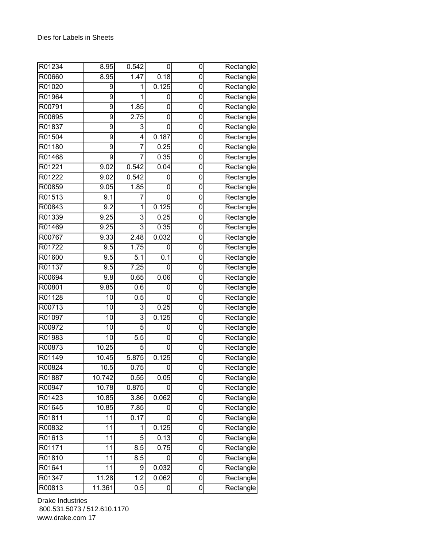| R01234 | 8.95           | 0.542            | 0     | 0              | Rectangle                        |
|--------|----------------|------------------|-------|----------------|----------------------------------|
| R00660 | 8.95           | 1.47             | 0.18  | 0              | Rectangle                        |
| R01020 | 9              | 1                | 0.125 | 0              | Rectangle                        |
| R01964 | $\overline{9}$ | 1                | 0     | 0              | Rectangle                        |
| R00791 | 9              | 1.85             | 0     | 0              | Rectangle                        |
| R00695 | 9              | 2.75             | 0     | 0              | Rectangle                        |
| R01837 | 9              | 3                | 0     | 0              | Rectangle                        |
| R01504 | 9              | 4                | 0.187 | 0              | Rectangle                        |
| R01180 | $\overline{9}$ | $\overline{7}$   | 0.25  | 0              | Rectangle                        |
| R01468 | 9              | 7                | 0.35  | 0              | Rectangle                        |
| R01221 | 9.02           | 0.542            | 0.04  | 0              | Rectangle                        |
| R01222 | 9.02           | 0.542            | 0     | 0              | Rectangle                        |
| R00859 | 9.05           | 1.85             | 0     | 0              | Rectangle                        |
| R01513 | 9.1            | 7                | 0     | 0              | Rectangle                        |
| R00843 | 9.2            | 1                | 0.125 | 0              | Rectangle                        |
| R01339 | 9.25           | 3                | 0.25  | 0              | Rectangle                        |
| R01469 | 9.25           | 3                | 0.35  | 0              | Rectangle                        |
| R00767 | 9.33           | 2.48             | 0.032 | 0              | Rectangle                        |
| R01722 | 9.5            | 1.75             | 0     | 0              | Rectangle                        |
| R01600 | 9.5            | 5.1              | 0.1   | 0              | Rectangle                        |
| R01137 | 9.5            | 7.25             | 0     | $\mathbf 0$    | Rectangle                        |
| R00694 | 9.8            | 0.65             | 0.06  | 0              | Rectangle                        |
| R00801 | 9.85           | 0.6              | 0     | 0              | Rectangle                        |
| R01128 | 10             | 0.5              | 0     | 0              | Rectangle                        |
| R00713 | 10             | 3                | 0.25  | 0              | Rectangle                        |
| R01097 | 10             | 3                | 0.125 | 0              | Rectangle                        |
| R00972 | 10             | 5                | 0     | 0              | Rectangle                        |
| R01983 | 10             | $\overline{5.5}$ | 0     | 0              | $\overline{\mathsf{R}}$ ectangle |
| R00873 | 10.25          | 5                | 0     | 0              | Rectangle                        |
| R01149 | 10.45          | 5.875            | 0.125 | 0              | Rectangle                        |
| R00824 | 10.5           | 0.75             | 0     | 0              | Rectangle                        |
| R01887 | 10.742         | 0.55             | 0.05  | 0              | Rectangle                        |
| R00947 | 10.78          | 0.875            | 0     | 0              | Rectangle                        |
| R01423 | 10.85          | 3.86             | 0.062 | 0              | Rectangle                        |
| R01645 | 10.85          | 7.85             | 0     | 0              | Rectangle                        |
| R01811 | 11             | 0.17             | 0     | 0              | Rectangle                        |
| R00832 | 11             | 1                | 0.125 | 0              | Rectangle                        |
| R01613 | 11             | 5                | 0.13  | 0              | Rectangle                        |
| R01171 | 11             | 8.5              | 0.75  | 0              | Rectangle                        |
| R01810 | 11             | 8.5              | 0     | $\overline{0}$ | Rectangle                        |
| R01641 | 11             | 9                | 0.032 | 0              | Rectangle                        |
| R01347 | 11.28          | $\overline{1.2}$ | 0.062 | 0              | Rectangle                        |
| R00813 | 11.361         | 0.5              | 0     | 0              | Rectangle                        |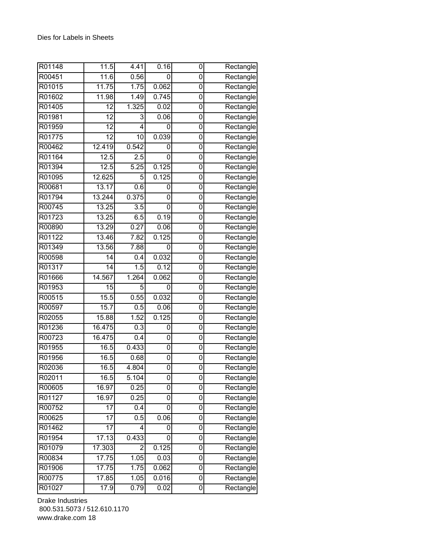| R01148 | 11.5            | 4.41           | 0.16  | 0           | Rectangle                        |
|--------|-----------------|----------------|-------|-------------|----------------------------------|
| R00451 | 11.6            | 0.56           | 0     | 0           | Rectangle                        |
| R01015 | 11.75           | 1.75           | 0.062 | 0           | Rectangle                        |
| R01602 | 11.98           | 1.49           | 0.745 | 0           | Rectangle                        |
| R01405 | 12              | 1.325          | 0.02  | 0           | Rectangle                        |
| R01981 | 12              | 3              | 0.06  | 0           | Rectangle                        |
| R01959 | 12              | 4              | 0     | 0           | Rectangle                        |
| R01775 | 12              | 10             | 0.039 | 0           | Rectangle                        |
| R00462 | 12.419          | 0.542          | 0     | 0           | Rectangle                        |
| R01164 | 12.5            | 2.5            | 0     | 0           | Rectangle                        |
| R01394 | 12.5            | 5.25           | 0.125 | 0           | Rectangle                        |
| R01095 | 12.625          | 5              | 0.125 | 0           | Rectangle                        |
| R00681 | 13.17           | 0.6            | 0     | 0           | Rectangle                        |
| R01794 | 13.244          | 0.375          | 0     | $\mathbf 0$ | Rectangle                        |
| R00745 | 13.25           | 3.5            | 0     | 0           | Rectangle                        |
| R01723 | 13.25           | 6.5            | 0.19  | 0           | Rectangle                        |
| R00890 | 13.29           | 0.27           | 0.06  | 0           | Rectangle                        |
| R01122 | 13.46           | 7.82           | 0.125 | 0           | Rectangle                        |
| R01349 | 13.56           | 7.88           | 0     | 0           | Rectangle                        |
| R00598 | 14              | 0.4            | 0.032 | 0           | Rectangle                        |
| R01317 | $\overline{14}$ | 1.5            | 0.12  | 0           | Rectangle                        |
| R01666 | 14.567          | 1.264          | 0.062 | 0           | Rectangle                        |
| R01953 | 15              | 5              | 0     | 0           | Rectangle                        |
| R00515 | 15.5            | 0.55           | 0.032 | 0           | $\overline{\mathsf{R}}$ ectangle |
| R00597 | 15.7            | 0.5            | 0.06  | 0           | Rectangle                        |
| R02055 | 15.88           | 1.52           | 0.125 | 0           | Rectangle                        |
| R01236 | 16.475          | 0.3            | 0     | 0           | $\overline{\mathsf{R}}$ ectangle |
| R00723 | 16.475          | 0.4            | 0     | 0           | Rectangle                        |
| R01955 | 16.5            | 0.433          | 0     | 0           | Rectangle                        |
| R01956 | 16.5            | 0.68           | 0     | 0           | Rectangle                        |
| R02036 | 16.5            | 4.804          | 0     | 0           | Rectangle                        |
| R02011 | 16.5            | 5.104          | 0     | 0           | Rectangle                        |
| R00605 | 16.97           | 0.25           | 0     | 0           | Rectangle                        |
| R01127 | 16.97           | 0.25           | 0     | 0           | Rectangle                        |
| R00752 | $\overline{17}$ | 0.4            | 0     | 0           | Rectangle                        |
| R00625 | 17              | 0.5            | 0.06  | 0           | Rectangle                        |
| R01462 | 17              | 4              | 0     | 0           | Rectangle                        |
| R01954 | 17.13           | 0.433          | 0     | $\mathbf 0$ | Rectangle                        |
| R01079 | 17.303          | $\overline{2}$ | 0.125 | $\mathbf 0$ | Rectangle                        |
| R00834 | 17.75           | 1.05           | 0.03  | 0           | Rectangle                        |
| R01906 | 17.75           | 1.75           | 0.062 | 0           | Rectangle                        |
| R00775 | 17.85           | 1.05           | 0.016 | 0           | Rectangle                        |
| R01027 | 17.9            | 0.79           | 0.02  | 0           | Rectangle                        |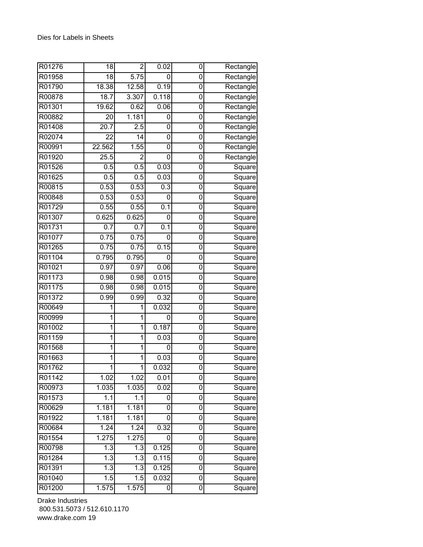| R01276 | 18                | $\overline{2}$     | 0.02  | 0              | Rectangle                        |
|--------|-------------------|--------------------|-------|----------------|----------------------------------|
| R01958 | 18                | 5.75               | 0     | 0              | Rectangle                        |
| R01790 | 18.38             | 12.58              | 0.19  | 0              | Rectangle                        |
| R00878 | 18.7              | 3.307              | 0.118 | 0              | Rectangle                        |
| R01301 | 19.62             | 0.62               | 0.06  | 0              | Rectangle                        |
| R00882 | 20                | 1.181              | 0     | 0              | Rectangle                        |
| R01408 | $\overline{2}0.7$ | 2.5                | 0     | $\mathbf 0$    | Rectangle                        |
| R02074 | 22                | 14                 | 0     | 0              | $\overline{\mathsf{R}}$ ectangle |
| R00991 | 22.562            | 1.55               | 0     | 0              | Rectangle                        |
| R01920 | 25.5              | 2                  | 0     | 0              | Rectangle                        |
| R01526 | 0.5               | 0.5                | 0.03  | 0              | Square                           |
| R01625 | 0.5               | 0.5                | 0.03  | 0              | Square                           |
| R00815 | 0.53              | 0.53               | 0.3   | 0              | Square                           |
| R00848 | 0.53              | 0.53               | 0     | $\overline{0}$ | Square                           |
| R01729 | 0.55              | 0.55               | 0.1   | 0              | Square                           |
| R01307 | 0.625             | 0.625              | 0     | 0              | Square                           |
| R01731 | 0.7               | 0.7                | 0.1   | 0              | Square                           |
| R01077 | 0.75              | 0.75               | 0     | 0              | Square                           |
| R01265 | 0.75              | 0.75               | 0.15  | 0              | Square                           |
| R01104 | 0.795             | 0.795              | 0     | 0              | Square                           |
| R01021 | 0.97              | 0.97               | 0.06  | 0              | Square                           |
| R01173 | 0.98              | 0.98               | 0.015 | 0              | Square                           |
| R01175 | 0.98              | 0.98               | 0.015 | 0              | Square                           |
| R01372 | 0.99              | 0.99               | 0.32  | 0              | Square                           |
| R00649 | 1                 | 1                  | 0.032 | 0              | Square                           |
| R00999 | 1                 | 1                  | 0     | 0              | Square                           |
| R01002 | 1                 | 1                  | 0.187 | 0              | Square                           |
| R01159 | 1                 | 1                  | 0.03  | 0              | Square                           |
| R01568 | 1                 | 1                  | 0     | 0              | Square                           |
| R01663 | 1                 | 1                  | 0.03  | 0              | Square                           |
| R01762 | 1                 | 1                  | 0.032 | 0              | Square                           |
| R01142 | 1.02              | 1.02               | 0.01  | 0              | Square                           |
| R00973 | 1.035             | 1.035              | 0.02  | 0              | Square                           |
| R01573 | 1.1               | 1.1                | 0     | 0              | Square                           |
| R00629 | 1.181             | 1.181              | 0     | 0              | Square                           |
| R01922 | 1.181             | $\overline{1.181}$ | 0     | 0              | Square                           |
| R00684 | 1.24              | 1.24               | 0.32  | 0              | Square                           |
| R01554 | 1.275             | 1.275              | 0     | $\pmb{0}$      | Square                           |
| R00798 | 1.3               | 1.3                | 0.125 | 0              | Square                           |
| R01284 | 1.3               | 1.3                | 0.115 | 0              | Square                           |
| R01391 | 1.3               | 1.3                | 0.125 | 0              | Square                           |
| R01040 | 1.5               | 1.5                | 0.032 | 0              | Square                           |
| R01200 | 1.575             | 1.575              | 0     | 0              | Square                           |